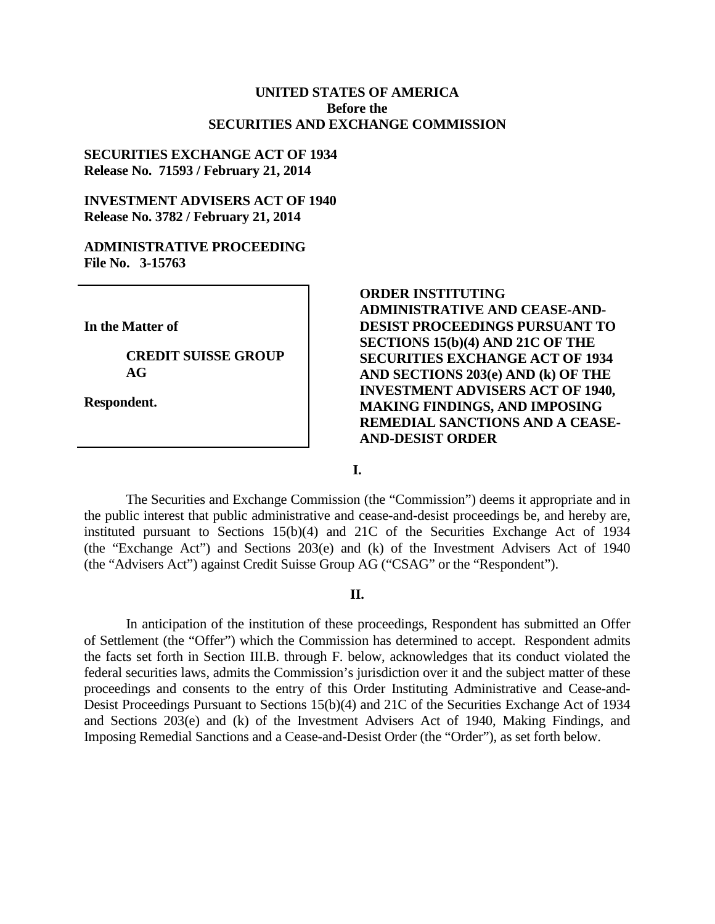### **UNITED STATES OF AMERICA Before the SECURITIES AND EXCHANGE COMMISSION**

### **SECURITIES EXCHANGE ACT OF 1934 Release No. 71593 / February 21, 2014**

### **INVESTMENT ADVISERS ACT OF 1940 Release No. 3782 / February 21, 2014**

#### **ADMINISTRATIVE PROCEEDING File No. 3-15763**

**In the Matter of**

**CREDIT SUISSE GROUP AG**

**Respondent.**

# **ORDER INSTITUTING ADMINISTRATIVE AND CEASE-AND-DESIST PROCEEDINGS PURSUANT TO SECTIONS 15(b)(4) AND 21C OF THE SECURITIES EXCHANGE ACT OF 1934 AND SECTIONS 203(e) AND (k) OF THE INVESTMENT ADVISERS ACT OF 1940, MAKING FINDINGS, AND IMPOSING REMEDIAL SANCTIONS AND A CEASE-AND-DESIST ORDER**

**I.**

The Securities and Exchange Commission (the "Commission") deems it appropriate and in the public interest that public administrative and cease-and-desist proceedings be, and hereby are, instituted pursuant to Sections 15(b)(4) and 21C of the Securities Exchange Act of 1934 (the "Exchange Act") and Sections 203(e) and (k) of the Investment Advisers Act of 1940 (the "Advisers Act") against Credit Suisse Group AG ("CSAG" or the "Respondent").

#### **II.**

In anticipation of the institution of these proceedings, Respondent has submitted an Offer of Settlement (the "Offer") which the Commission has determined to accept. Respondent admits the facts set forth in Section III.B. through F. below, acknowledges that its conduct violated the federal securities laws, admits the Commission's jurisdiction over it and the subject matter of these proceedings and consents to the entry of this Order Instituting Administrative and Cease-and-Desist Proceedings Pursuant to Sections 15(b)(4) and 21C of the Securities Exchange Act of 1934 and Sections 203(e) and (k) of the Investment Advisers Act of 1940, Making Findings, and Imposing Remedial Sanctions and a Cease-and-Desist Order (the "Order"), as set forth below.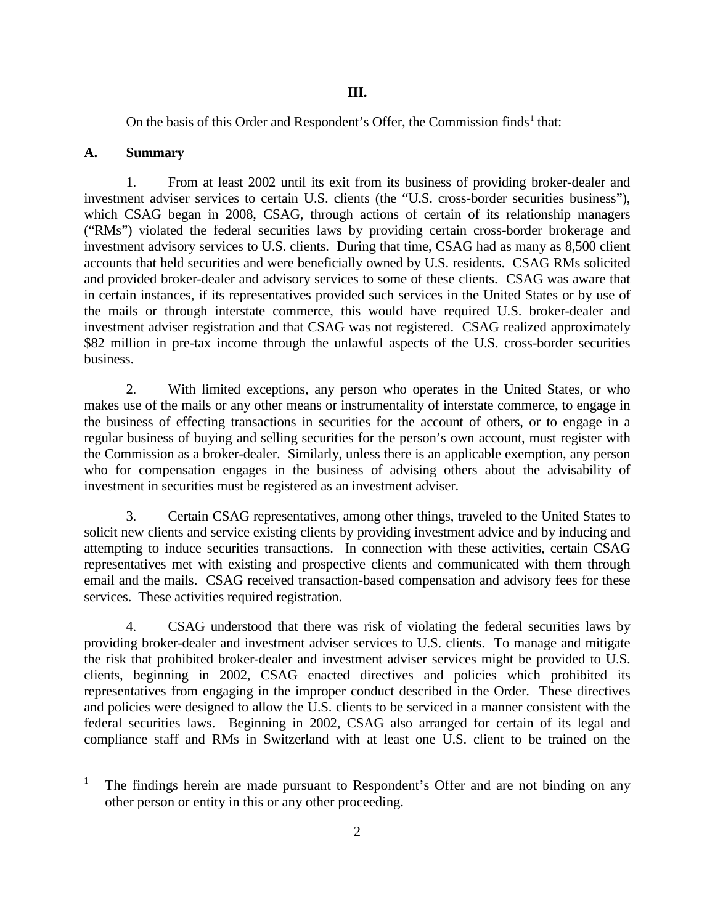On the basis of this Order and Respondent's Offer, the Commission finds<sup>1</sup> that:

## **A. Summary**

1. From at least 2002 until its exit from its business of providing broker-dealer and investment adviser services to certain U.S. clients (the "U.S. cross-border securities business"), which CSAG began in 2008, CSAG, through actions of certain of its relationship managers ("RMs") violated the federal securities laws by providing certain cross-border brokerage and investment advisory services to U.S. clients. During that time, CSAG had as many as 8,500 client accounts that held securities and were beneficially owned by U.S. residents. CSAG RMs solicited and provided broker-dealer and advisory services to some of these clients. CSAG was aware that in certain instances, if its representatives provided such services in the United States or by use of the mails or through interstate commerce, this would have required U.S. broker-dealer and investment adviser registration and that CSAG was not registered. CSAG realized approximately \$82 million in pre-tax income through the unlawful aspects of the U.S. cross-border securities business.

2. With limited exceptions, any person who operates in the United States, or who makes use of the mails or any other means or instrumentality of interstate commerce, to engage in the business of effecting transactions in securities for the account of others, or to engage in a regular business of buying and selling securities for the person's own account, must register with the Commission as a broker-dealer. Similarly, unless there is an applicable exemption, any person who for compensation engages in the business of advising others about the advisability of investment in securities must be registered as an investment adviser.

3. Certain CSAG representatives, among other things, traveled to the United States to solicit new clients and service existing clients by providing investment advice and by inducing and attempting to induce securities transactions. In connection with these activities, certain CSAG representatives met with existing and prospective clients and communicated with them through email and the mails. CSAG received transaction-based compensation and advisory fees for these services. These activities required registration.

4. CSAG understood that there was risk of violating the federal securities laws by providing broker-dealer and investment adviser services to U.S. clients. To manage and mitigate the risk that prohibited broker-dealer and investment adviser services might be provided to U.S. clients, beginning in 2002, CSAG enacted directives and policies which prohibited its representatives from engaging in the improper conduct described in the Order. These directives and policies were designed to allow the U.S. clients to be serviced in a manner consistent with the federal securities laws. Beginning in 2002, CSAG also arranged for certain of its legal and compliance staff and RMs in Switzerland with at least one U.S. client to be trained on the

<sup>&</sup>lt;sup>1</sup> The findings herein are made pursuant to Respondent's Offer and are not binding on any other person or entity in this or any other proceeding.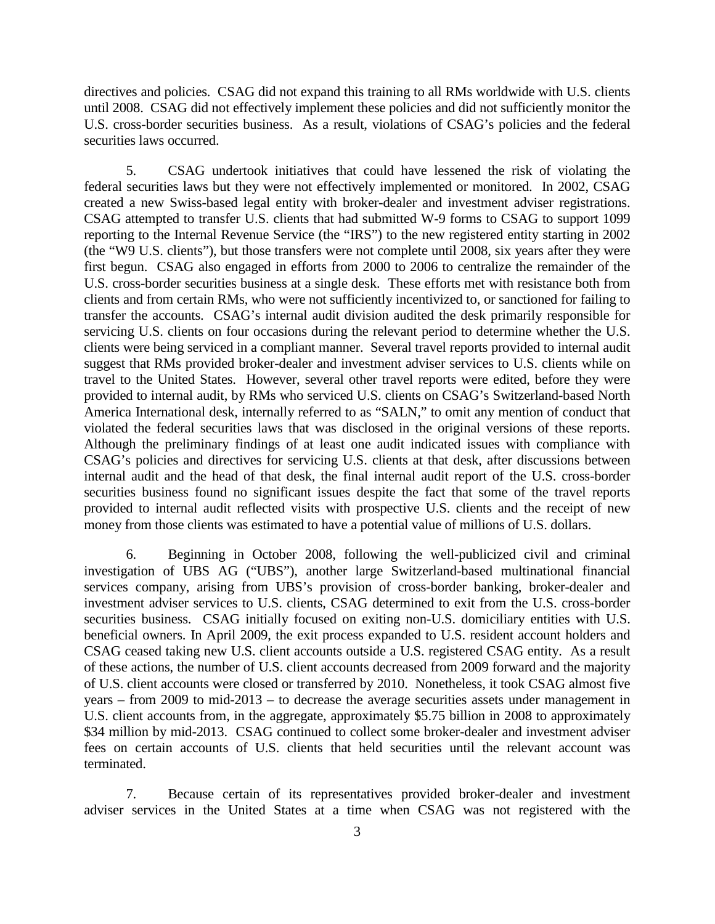directives and policies. CSAG did not expand this training to all RMs worldwide with U.S. clients until 2008. CSAG did not effectively implement these policies and did not sufficiently monitor the U.S. cross-border securities business. As a result, violations of CSAG's policies and the federal securities laws occurred.

5. CSAG undertook initiatives that could have lessened the risk of violating the federal securities laws but they were not effectively implemented or monitored. In 2002, CSAG created a new Swiss-based legal entity with broker-dealer and investment adviser registrations. CSAG attempted to transfer U.S. clients that had submitted W-9 forms to CSAG to support 1099 reporting to the Internal Revenue Service (the "IRS") to the new registered entity starting in 2002 (the "W9 U.S. clients"), but those transfers were not complete until 2008, six years after they were first begun. CSAG also engaged in efforts from 2000 to 2006 to centralize the remainder of the U.S. cross-border securities business at a single desk. These efforts met with resistance both from clients and from certain RMs, who were not sufficiently incentivized to, or sanctioned for failing to transfer the accounts. CSAG's internal audit division audited the desk primarily responsible for servicing U.S. clients on four occasions during the relevant period to determine whether the U.S. clients were being serviced in a compliant manner. Several travel reports provided to internal audit suggest that RMs provided broker-dealer and investment adviser services to U.S. clients while on travel to the United States. However, several other travel reports were edited, before they were provided to internal audit, by RMs who serviced U.S. clients on CSAG's Switzerland-based North America International desk, internally referred to as "SALN," to omit any mention of conduct that violated the federal securities laws that was disclosed in the original versions of these reports. Although the preliminary findings of at least one audit indicated issues with compliance with CSAG's policies and directives for servicing U.S. clients at that desk, after discussions between internal audit and the head of that desk, the final internal audit report of the U.S. cross-border securities business found no significant issues despite the fact that some of the travel reports provided to internal audit reflected visits with prospective U.S. clients and the receipt of new money from those clients was estimated to have a potential value of millions of U.S. dollars.

6. Beginning in October 2008, following the well-publicized civil and criminal investigation of UBS AG ("UBS"), another large Switzerland-based multinational financial services company, arising from UBS's provision of cross-border banking, broker-dealer and investment adviser services to U.S. clients, CSAG determined to exit from the U.S. cross-border securities business. CSAG initially focused on exiting non-U.S. domiciliary entities with U.S. beneficial owners. In April 2009, the exit process expanded to U.S. resident account holders and CSAG ceased taking new U.S. client accounts outside a U.S. registered CSAG entity. As a result of these actions, the number of U.S. client accounts decreased from 2009 forward and the majority of U.S. client accounts were closed or transferred by 2010. Nonetheless, it took CSAG almost five years – from 2009 to mid-2013 – to decrease the average securities assets under management in U.S. client accounts from, in the aggregate, approximately \$5.75 billion in 2008 to approximately \$34 million by mid-2013. CSAG continued to collect some broker-dealer and investment adviser fees on certain accounts of U.S. clients that held securities until the relevant account was terminated.

7. Because certain of its representatives provided broker-dealer and investment adviser services in the United States at a time when CSAG was not registered with the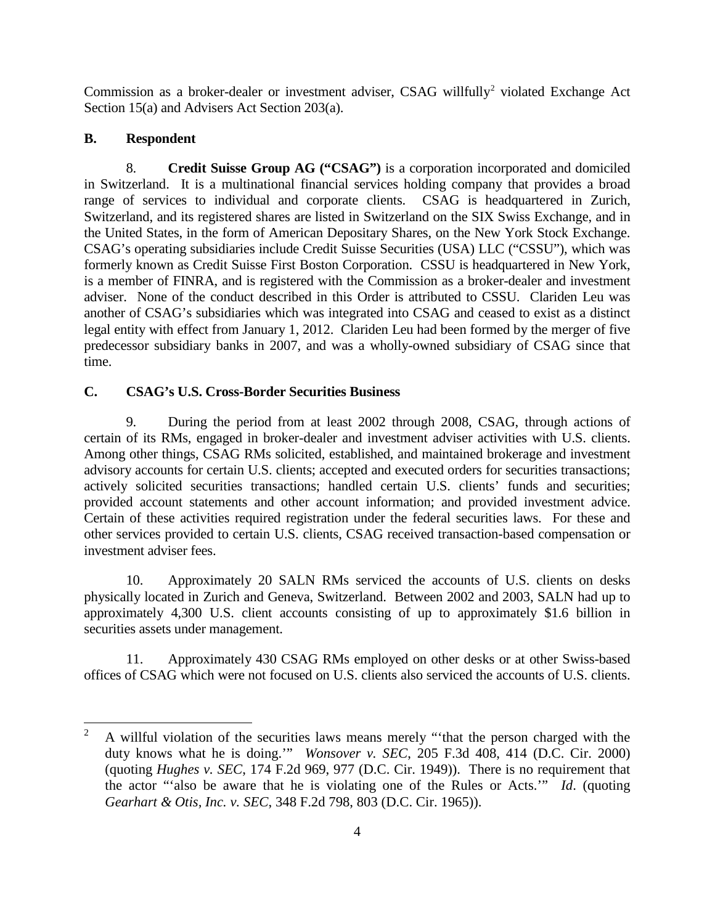Commission as a broker-dealer or investment adviser, CSAG willfully<sup>2</sup> violated Exchange Act Section 15(a) and Advisers Act Section 203(a).

# **B. Respondent**

8. **Credit Suisse Group AG ("CSAG")** is a corporation incorporated and domiciled in Switzerland. It is a multinational financial services holding company that provides a broad range of services to individual and corporate clients. CSAG is headquartered in Zurich, Switzerland, and its registered shares are listed in Switzerland on the SIX Swiss Exchange, and in the United States, in the form of American Depositary Shares, on the New York Stock Exchange. CSAG's operating subsidiaries include Credit Suisse Securities (USA) LLC ("CSSU"), which was formerly known as Credit Suisse First Boston Corporation. CSSU is headquartered in New York, is a member of FINRA, and is registered with the Commission as a broker-dealer and investment adviser. None of the conduct described in this Order is attributed to CSSU. Clariden Leu was another of CSAG's subsidiaries which was integrated into CSAG and ceased to exist as a distinct legal entity with effect from January 1, 2012. Clariden Leu had been formed by the merger of five predecessor subsidiary banks in 2007, and was a wholly-owned subsidiary of CSAG since that time.

# **C. CSAG's U.S. Cross-Border Securities Business**

9. During the period from at least 2002 through 2008, CSAG, through actions of certain of its RMs, engaged in broker-dealer and investment adviser activities with U.S. clients. Among other things, CSAG RMs solicited, established, and maintained brokerage and investment advisory accounts for certain U.S. clients; accepted and executed orders for securities transactions; actively solicited securities transactions; handled certain U.S. clients' funds and securities; provided account statements and other account information; and provided investment advice. Certain of these activities required registration under the federal securities laws. For these and other services provided to certain U.S. clients, CSAG received transaction-based compensation or investment adviser fees.

10. Approximately 20 SALN RMs serviced the accounts of U.S. clients on desks physically located in Zurich and Geneva, Switzerland. Between 2002 and 2003, SALN had up to approximately 4,300 U.S. client accounts consisting of up to approximately \$1.6 billion in securities assets under management.

11. Approximately 430 CSAG RMs employed on other desks or at other Swiss-based offices of CSAG which were not focused on U.S. clients also serviced the accounts of U.S. clients.

 <sup>2</sup> A willful violation of the securities laws means merely "'that the person charged with the duty knows what he is doing.'" *Wonsover v. SEC*, 205 F.3d 408, 414 (D.C. Cir. 2000) (quoting *Hughes v. SEC*, 174 F.2d 969, 977 (D.C. Cir. 1949)). There is no requirement that the actor "'also be aware that he is violating one of the Rules or Acts.'" *Id*. (quoting *Gearhart & Otis, Inc. v. SEC*, 348 F.2d 798, 803 (D.C. Cir. 1965)).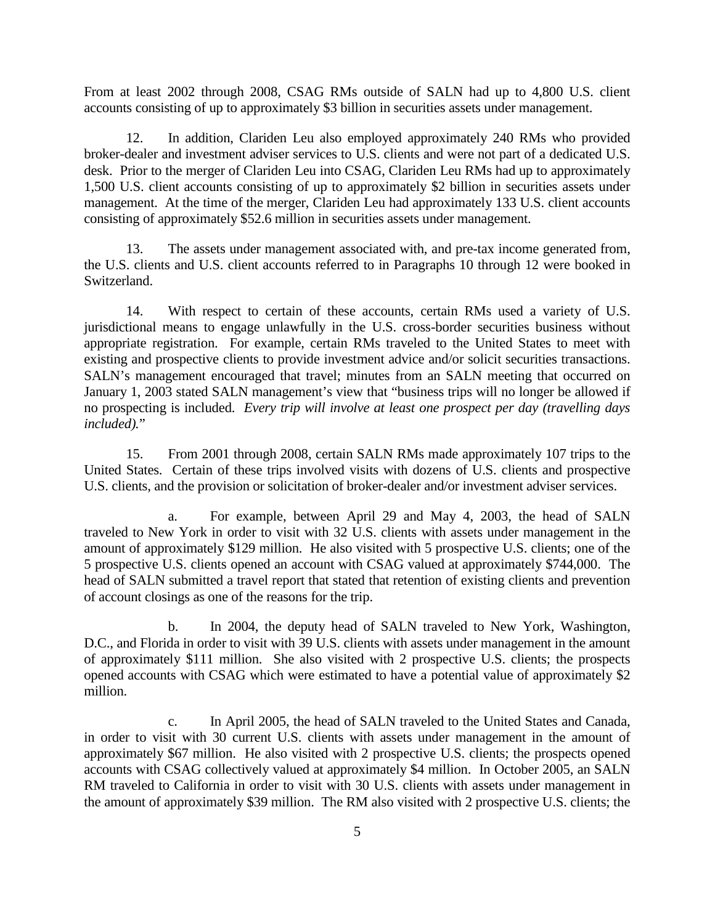From at least 2002 through 2008, CSAG RMs outside of SALN had up to 4,800 U.S. client accounts consisting of up to approximately \$3 billion in securities assets under management.

12. In addition, Clariden Leu also employed approximately 240 RMs who provided broker-dealer and investment adviser services to U.S. clients and were not part of a dedicated U.S. desk. Prior to the merger of Clariden Leu into CSAG, Clariden Leu RMs had up to approximately 1,500 U.S. client accounts consisting of up to approximately \$2 billion in securities assets under management. At the time of the merger, Clariden Leu had approximately 133 U.S. client accounts consisting of approximately \$52.6 million in securities assets under management.

13. The assets under management associated with, and pre-tax income generated from, the U.S. clients and U.S. client accounts referred to in Paragraphs 10 through 12 were booked in Switzerland.

14. With respect to certain of these accounts, certain RMs used a variety of U.S. jurisdictional means to engage unlawfully in the U.S. cross-border securities business without appropriate registration. For example, certain RMs traveled to the United States to meet with existing and prospective clients to provide investment advice and/or solicit securities transactions. SALN's management encouraged that travel; minutes from an SALN meeting that occurred on January 1, 2003 stated SALN management's view that "business trips will no longer be allowed if no prospecting is included. *Every trip will involve at least one prospect per day (travelling days included).*"

15. From 2001 through 2008, certain SALN RMs made approximately 107 trips to the United States. Certain of these trips involved visits with dozens of U.S. clients and prospective U.S. clients, and the provision or solicitation of broker-dealer and/or investment adviser services.

a. For example, between April 29 and May 4, 2003, the head of SALN traveled to New York in order to visit with 32 U.S. clients with assets under management in the amount of approximately \$129 million. He also visited with 5 prospective U.S. clients; one of the 5 prospective U.S. clients opened an account with CSAG valued at approximately \$744,000. The head of SALN submitted a travel report that stated that retention of existing clients and prevention of account closings as one of the reasons for the trip.

b. In 2004, the deputy head of SALN traveled to New York, Washington, D.C., and Florida in order to visit with 39 U.S. clients with assets under management in the amount of approximately \$111 million. She also visited with 2 prospective U.S. clients; the prospects opened accounts with CSAG which were estimated to have a potential value of approximately \$2 million.

c. In April 2005, the head of SALN traveled to the United States and Canada, in order to visit with 30 current U.S. clients with assets under management in the amount of approximately \$67 million. He also visited with 2 prospective U.S. clients; the prospects opened accounts with CSAG collectively valued at approximately \$4 million. In October 2005, an SALN RM traveled to California in order to visit with 30 U.S. clients with assets under management in the amount of approximately \$39 million. The RM also visited with 2 prospective U.S. clients; the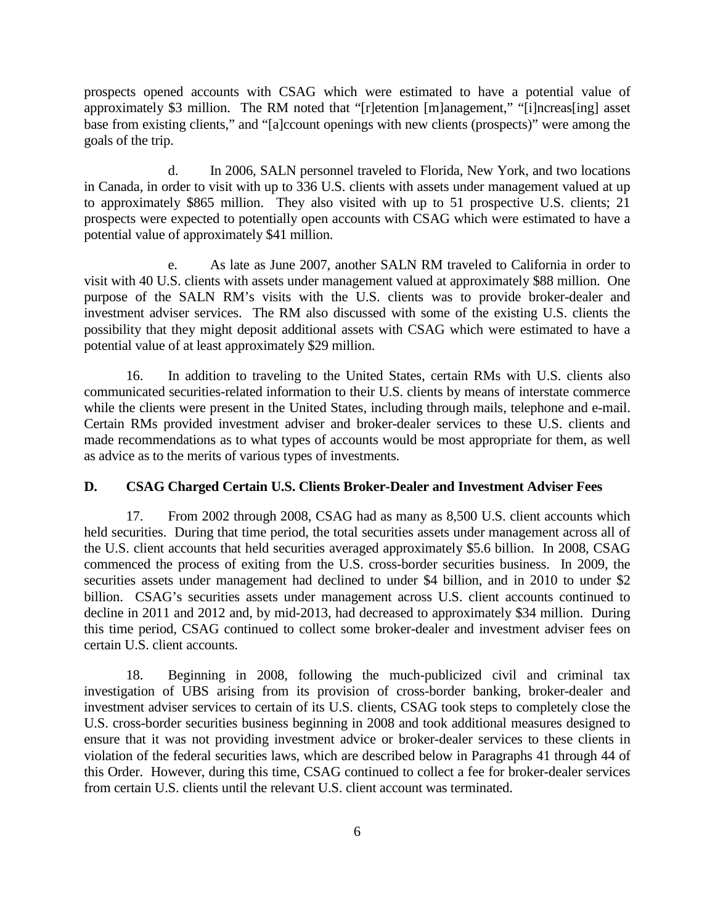prospects opened accounts with CSAG which were estimated to have a potential value of approximately \$3 million. The RM noted that "[r]etention [m]anagement," "[i]ncreas[ing] asset base from existing clients," and "[a]ccount openings with new clients (prospects)" were among the goals of the trip.

d. In 2006, SALN personnel traveled to Florida, New York, and two locations in Canada, in order to visit with up to 336 U.S. clients with assets under management valued at up to approximately \$865 million. They also visited with up to 51 prospective U.S. clients; 21 prospects were expected to potentially open accounts with CSAG which were estimated to have a potential value of approximately \$41 million.

e. As late as June 2007, another SALN RM traveled to California in order to visit with 40 U.S. clients with assets under management valued at approximately \$88 million. One purpose of the SALN RM's visits with the U.S. clients was to provide broker-dealer and investment adviser services. The RM also discussed with some of the existing U.S. clients the possibility that they might deposit additional assets with CSAG which were estimated to have a potential value of at least approximately \$29 million.

16. In addition to traveling to the United States, certain RMs with U.S. clients also communicated securities-related information to their U.S. clients by means of interstate commerce while the clients were present in the United States, including through mails, telephone and e-mail. Certain RMs provided investment adviser and broker-dealer services to these U.S. clients and made recommendations as to what types of accounts would be most appropriate for them, as well as advice as to the merits of various types of investments.

#### **D. CSAG Charged Certain U.S. Clients Broker-Dealer and Investment Adviser Fees**

17. From 2002 through 2008, CSAG had as many as 8,500 U.S. client accounts which held securities. During that time period, the total securities assets under management across all of the U.S. client accounts that held securities averaged approximately \$5.6 billion. In 2008, CSAG commenced the process of exiting from the U.S. cross-border securities business. In 2009, the securities assets under management had declined to under \$4 billion, and in 2010 to under \$2 billion. CSAG's securities assets under management across U.S. client accounts continued to decline in 2011 and 2012 and, by mid-2013, had decreased to approximately \$34 million. During this time period, CSAG continued to collect some broker-dealer and investment adviser fees on certain U.S. client accounts.

18. Beginning in 2008, following the much-publicized civil and criminal tax investigation of UBS arising from its provision of cross-border banking, broker-dealer and investment adviser services to certain of its U.S. clients, CSAG took steps to completely close the U.S. cross-border securities business beginning in 2008 and took additional measures designed to ensure that it was not providing investment advice or broker-dealer services to these clients in violation of the federal securities laws, which are described below in Paragraphs 41 through 44 of this Order. However, during this time, CSAG continued to collect a fee for broker-dealer services from certain U.S. clients until the relevant U.S. client account was terminated.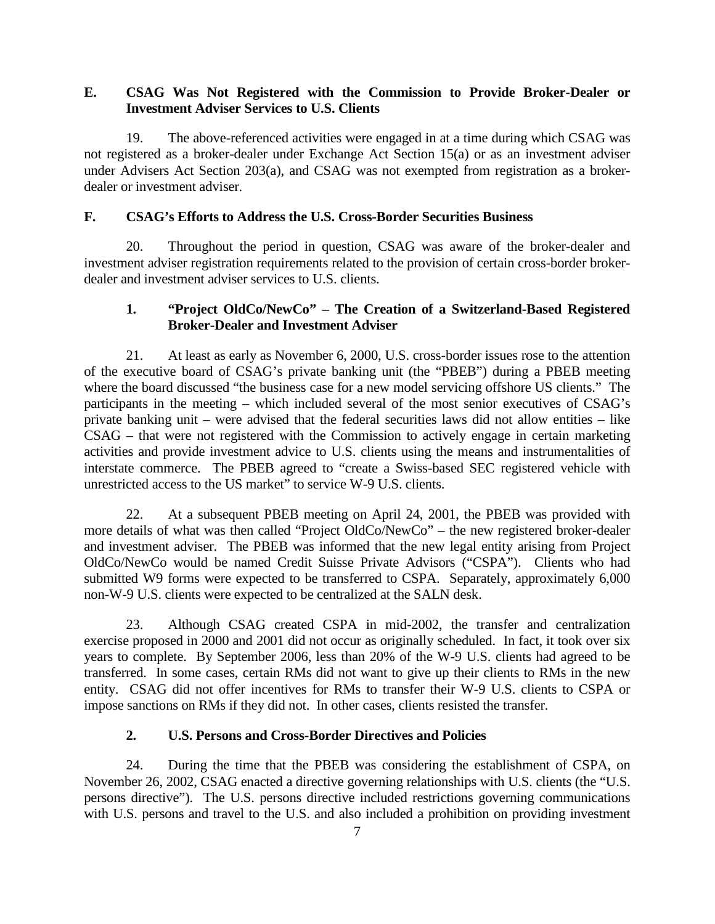## **E. CSAG Was Not Registered with the Commission to Provide Broker-Dealer or Investment Adviser Services to U.S. Clients**

19. The above-referenced activities were engaged in at a time during which CSAG was not registered as a broker-dealer under Exchange Act Section 15(a) or as an investment adviser under Advisers Act Section 203(a), and CSAG was not exempted from registration as a brokerdealer or investment adviser.

## **F. CSAG's Efforts to Address the U.S. Cross-Border Securities Business**

20. Throughout the period in question, CSAG was aware of the broker-dealer and investment adviser registration requirements related to the provision of certain cross-border brokerdealer and investment adviser services to U.S. clients.

## **1. "Project OldCo/NewCo" – The Creation of a Switzerland-Based Registered Broker-Dealer and Investment Adviser**

21. At least as early as November 6, 2000, U.S. cross-border issues rose to the attention of the executive board of CSAG's private banking unit (the "PBEB") during a PBEB meeting where the board discussed "the business case for a new model servicing offshore US clients." The participants in the meeting – which included several of the most senior executives of CSAG's private banking unit – were advised that the federal securities laws did not allow entities – like CSAG – that were not registered with the Commission to actively engage in certain marketing activities and provide investment advice to U.S. clients using the means and instrumentalities of interstate commerce. The PBEB agreed to "create a Swiss-based SEC registered vehicle with unrestricted access to the US market" to service W-9 U.S. clients.

22. At a subsequent PBEB meeting on April 24, 2001, the PBEB was provided with more details of what was then called "Project OldCo/NewCo" – the new registered broker-dealer and investment adviser. The PBEB was informed that the new legal entity arising from Project OldCo/NewCo would be named Credit Suisse Private Advisors ("CSPA"). Clients who had submitted W9 forms were expected to be transferred to CSPA. Separately, approximately 6,000 non-W-9 U.S. clients were expected to be centralized at the SALN desk.

23. Although CSAG created CSPA in mid-2002, the transfer and centralization exercise proposed in 2000 and 2001 did not occur as originally scheduled. In fact, it took over six years to complete. By September 2006, less than 20% of the W-9 U.S. clients had agreed to be transferred. In some cases, certain RMs did not want to give up their clients to RMs in the new entity. CSAG did not offer incentives for RMs to transfer their W-9 U.S. clients to CSPA or impose sanctions on RMs if they did not. In other cases, clients resisted the transfer.

### **2. U.S. Persons and Cross-Border Directives and Policies**

24. During the time that the PBEB was considering the establishment of CSPA, on November 26, 2002, CSAG enacted a directive governing relationships with U.S. clients (the "U.S. persons directive"). The U.S. persons directive included restrictions governing communications with U.S. persons and travel to the U.S. and also included a prohibition on providing investment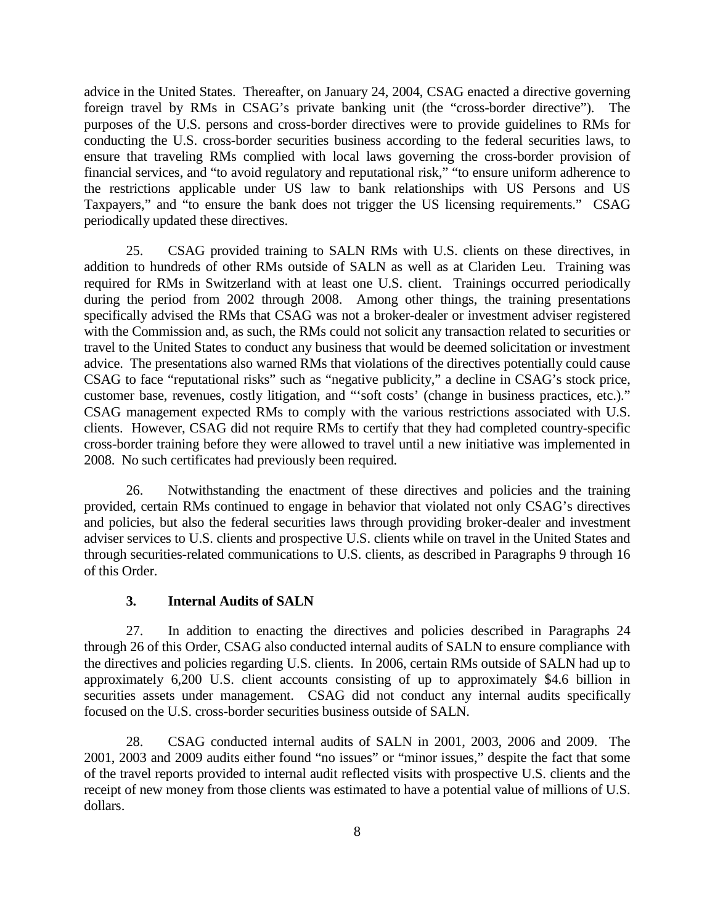advice in the United States. Thereafter, on January 24, 2004, CSAG enacted a directive governing foreign travel by RMs in CSAG's private banking unit (the "cross-border directive"). The purposes of the U.S. persons and cross-border directives were to provide guidelines to RMs for conducting the U.S. cross-border securities business according to the federal securities laws, to ensure that traveling RMs complied with local laws governing the cross-border provision of financial services, and "to avoid regulatory and reputational risk," "to ensure uniform adherence to the restrictions applicable under US law to bank relationships with US Persons and US Taxpayers," and "to ensure the bank does not trigger the US licensing requirements." CSAG periodically updated these directives.

25. CSAG provided training to SALN RMs with U.S. clients on these directives, in addition to hundreds of other RMs outside of SALN as well as at Clariden Leu. Training was required for RMs in Switzerland with at least one U.S. client. Trainings occurred periodically during the period from 2002 through 2008. Among other things, the training presentations specifically advised the RMs that CSAG was not a broker-dealer or investment adviser registered with the Commission and, as such, the RMs could not solicit any transaction related to securities or travel to the United States to conduct any business that would be deemed solicitation or investment advice. The presentations also warned RMs that violations of the directives potentially could cause CSAG to face "reputational risks" such as "negative publicity," a decline in CSAG's stock price, customer base, revenues, costly litigation, and "'soft costs' (change in business practices, etc.)." CSAG management expected RMs to comply with the various restrictions associated with U.S. clients. However, CSAG did not require RMs to certify that they had completed country-specific cross-border training before they were allowed to travel until a new initiative was implemented in 2008. No such certificates had previously been required.

26. Notwithstanding the enactment of these directives and policies and the training provided, certain RMs continued to engage in behavior that violated not only CSAG's directives and policies, but also the federal securities laws through providing broker-dealer and investment adviser services to U.S. clients and prospective U.S. clients while on travel in the United States and through securities-related communications to U.S. clients, as described in Paragraphs 9 through 16 of this Order.

### **3. Internal Audits of SALN**

27. In addition to enacting the directives and policies described in Paragraphs 24 through 26 of this Order, CSAG also conducted internal audits of SALN to ensure compliance with the directives and policies regarding U.S. clients. In 2006, certain RMs outside of SALN had up to approximately 6,200 U.S. client accounts consisting of up to approximately \$4.6 billion in securities assets under management. CSAG did not conduct any internal audits specifically focused on the U.S. cross-border securities business outside of SALN.

28. CSAG conducted internal audits of SALN in 2001, 2003, 2006 and 2009. The 2001, 2003 and 2009 audits either found "no issues" or "minor issues," despite the fact that some of the travel reports provided to internal audit reflected visits with prospective U.S. clients and the receipt of new money from those clients was estimated to have a potential value of millions of U.S. dollars.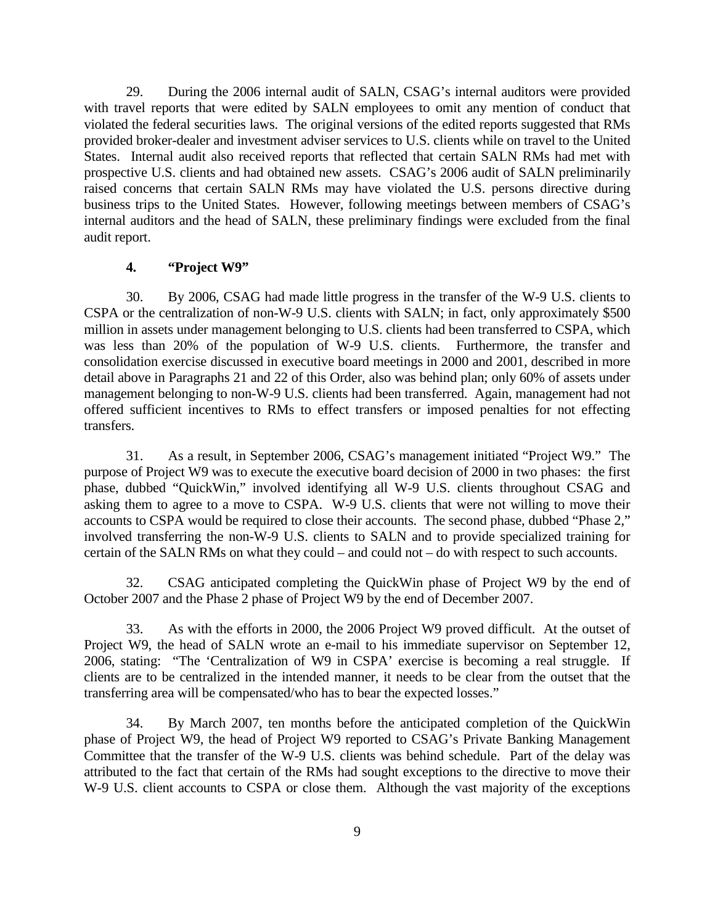29. During the 2006 internal audit of SALN, CSAG's internal auditors were provided with travel reports that were edited by SALN employees to omit any mention of conduct that violated the federal securities laws. The original versions of the edited reports suggested that RMs provided broker-dealer and investment adviser services to U.S. clients while on travel to the United States. Internal audit also received reports that reflected that certain SALN RMs had met with prospective U.S. clients and had obtained new assets. CSAG's 2006 audit of SALN preliminarily raised concerns that certain SALN RMs may have violated the U.S. persons directive during business trips to the United States. However, following meetings between members of CSAG's internal auditors and the head of SALN, these preliminary findings were excluded from the final audit report.

### **4. "Project W9"**

30. By 2006, CSAG had made little progress in the transfer of the W-9 U.S. clients to CSPA or the centralization of non-W-9 U.S. clients with SALN; in fact, only approximately \$500 million in assets under management belonging to U.S. clients had been transferred to CSPA, which was less than 20% of the population of W-9 U.S. clients. Furthermore, the transfer and consolidation exercise discussed in executive board meetings in 2000 and 2001, described in more detail above in Paragraphs 21 and 22 of this Order, also was behind plan; only 60% of assets under management belonging to non-W-9 U.S. clients had been transferred. Again, management had not offered sufficient incentives to RMs to effect transfers or imposed penalties for not effecting transfers.

31. As a result, in September 2006, CSAG's management initiated "Project W9." The purpose of Project W9 was to execute the executive board decision of 2000 in two phases: the first phase, dubbed "QuickWin," involved identifying all W-9 U.S. clients throughout CSAG and asking them to agree to a move to CSPA. W-9 U.S. clients that were not willing to move their accounts to CSPA would be required to close their accounts. The second phase, dubbed "Phase 2," involved transferring the non-W-9 U.S. clients to SALN and to provide specialized training for certain of the SALN RMs on what they could – and could not – do with respect to such accounts.

32. CSAG anticipated completing the QuickWin phase of Project W9 by the end of October 2007 and the Phase 2 phase of Project W9 by the end of December 2007.

33. As with the efforts in 2000, the 2006 Project W9 proved difficult. At the outset of Project W9, the head of SALN wrote an e-mail to his immediate supervisor on September 12, 2006, stating: "The 'Centralization of W9 in CSPA' exercise is becoming a real struggle. If clients are to be centralized in the intended manner, it needs to be clear from the outset that the transferring area will be compensated/who has to bear the expected losses."

34. By March 2007, ten months before the anticipated completion of the QuickWin phase of Project W9, the head of Project W9 reported to CSAG's Private Banking Management Committee that the transfer of the W-9 U.S. clients was behind schedule. Part of the delay was attributed to the fact that certain of the RMs had sought exceptions to the directive to move their W-9 U.S. client accounts to CSPA or close them. Although the vast majority of the exceptions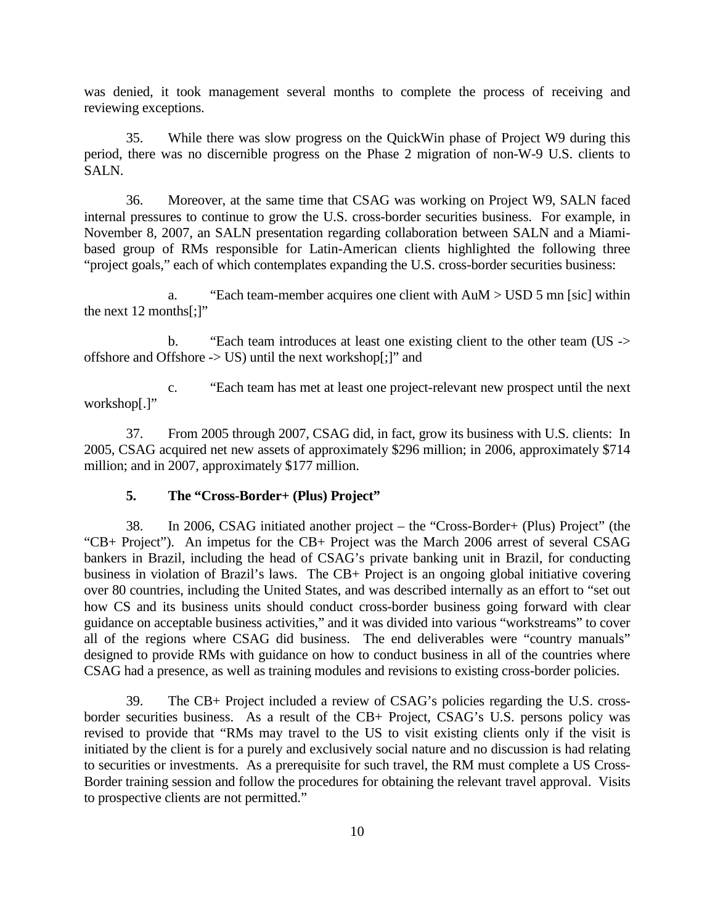was denied, it took management several months to complete the process of receiving and reviewing exceptions.

35. While there was slow progress on the QuickWin phase of Project W9 during this period, there was no discernible progress on the Phase 2 migration of non-W-9 U.S. clients to SALN.

36. Moreover, at the same time that CSAG was working on Project W9, SALN faced internal pressures to continue to grow the U.S. cross-border securities business. For example, in November 8, 2007, an SALN presentation regarding collaboration between SALN and a Miamibased group of RMs responsible for Latin-American clients highlighted the following three "project goals," each of which contemplates expanding the U.S. cross-border securities business:

a. "Each team-member acquires one client with AuM > USD 5 mn [sic] within the next 12 months[;]"

b. "Each team introduces at least one existing client to the other team (US -> offshore and Offshore -> US) until the next workshop[;]" and

c. "Each team has met at least one project-relevant new prospect until the next workshop[.]"

37. From 2005 through 2007, CSAG did, in fact, grow its business with U.S. clients: In 2005, CSAG acquired net new assets of approximately \$296 million; in 2006, approximately \$714 million; and in 2007, approximately \$177 million.

#### **5. The "Cross-Border+ (Plus) Project"**

38. In 2006, CSAG initiated another project – the "Cross-Border+ (Plus) Project" (the "CB+ Project"). An impetus for the CB+ Project was the March 2006 arrest of several CSAG bankers in Brazil, including the head of CSAG's private banking unit in Brazil, for conducting business in violation of Brazil's laws. The CB+ Project is an ongoing global initiative covering over 80 countries, including the United States, and was described internally as an effort to "set out how CS and its business units should conduct cross-border business going forward with clear guidance on acceptable business activities," and it was divided into various "workstreams" to cover all of the regions where CSAG did business. The end deliverables were "country manuals" designed to provide RMs with guidance on how to conduct business in all of the countries where CSAG had a presence, as well as training modules and revisions to existing cross-border policies.

39. The CB+ Project included a review of CSAG's policies regarding the U.S. crossborder securities business. As a result of the CB+ Project, CSAG's U.S. persons policy was revised to provide that "RMs may travel to the US to visit existing clients only if the visit is initiated by the client is for a purely and exclusively social nature and no discussion is had relating to securities or investments. As a prerequisite for such travel, the RM must complete a US Cross-Border training session and follow the procedures for obtaining the relevant travel approval. Visits to prospective clients are not permitted."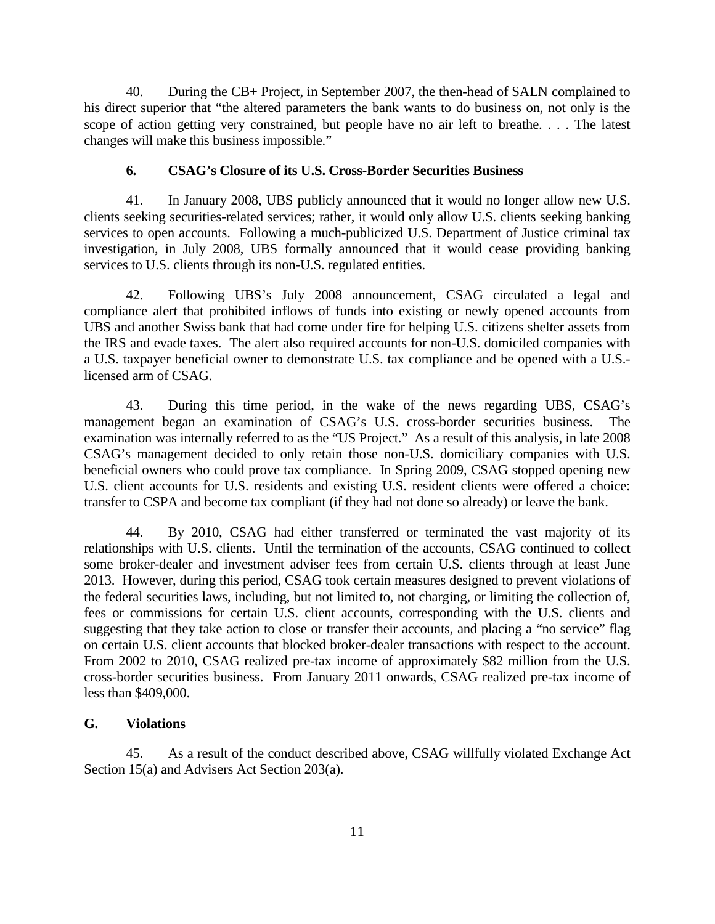40. During the CB+ Project, in September 2007, the then-head of SALN complained to his direct superior that "the altered parameters the bank wants to do business on, not only is the scope of action getting very constrained, but people have no air left to breathe. . . . The latest changes will make this business impossible."

#### **6. CSAG's Closure of its U.S. Cross-Border Securities Business**

41. In January 2008, UBS publicly announced that it would no longer allow new U.S. clients seeking securities-related services; rather, it would only allow U.S. clients seeking banking services to open accounts. Following a much-publicized U.S. Department of Justice criminal tax investigation, in July 2008, UBS formally announced that it would cease providing banking services to U.S. clients through its non-U.S. regulated entities.

42. Following UBS's July 2008 announcement, CSAG circulated a legal and compliance alert that prohibited inflows of funds into existing or newly opened accounts from UBS and another Swiss bank that had come under fire for helping U.S. citizens shelter assets from the IRS and evade taxes. The alert also required accounts for non-U.S. domiciled companies with a U.S. taxpayer beneficial owner to demonstrate U.S. tax compliance and be opened with a U.S. licensed arm of CSAG.

43. During this time period, in the wake of the news regarding UBS, CSAG's management began an examination of CSAG's U.S. cross-border securities business. The examination was internally referred to as the "US Project." As a result of this analysis, in late 2008 CSAG's management decided to only retain those non-U.S. domiciliary companies with U.S. beneficial owners who could prove tax compliance. In Spring 2009, CSAG stopped opening new U.S. client accounts for U.S. residents and existing U.S. resident clients were offered a choice: transfer to CSPA and become tax compliant (if they had not done so already) or leave the bank.

44. By 2010, CSAG had either transferred or terminated the vast majority of its relationships with U.S. clients. Until the termination of the accounts, CSAG continued to collect some broker-dealer and investment adviser fees from certain U.S. clients through at least June 2013. However, during this period, CSAG took certain measures designed to prevent violations of the federal securities laws, including, but not limited to, not charging, or limiting the collection of, fees or commissions for certain U.S. client accounts, corresponding with the U.S. clients and suggesting that they take action to close or transfer their accounts, and placing a "no service" flag on certain U.S. client accounts that blocked broker-dealer transactions with respect to the account. From 2002 to 2010, CSAG realized pre-tax income of approximately \$82 million from the U.S. cross-border securities business. From January 2011 onwards, CSAG realized pre-tax income of less than \$409,000.

#### **G. Violations**

45. As a result of the conduct described above, CSAG willfully violated Exchange Act Section 15(a) and Advisers Act Section 203(a).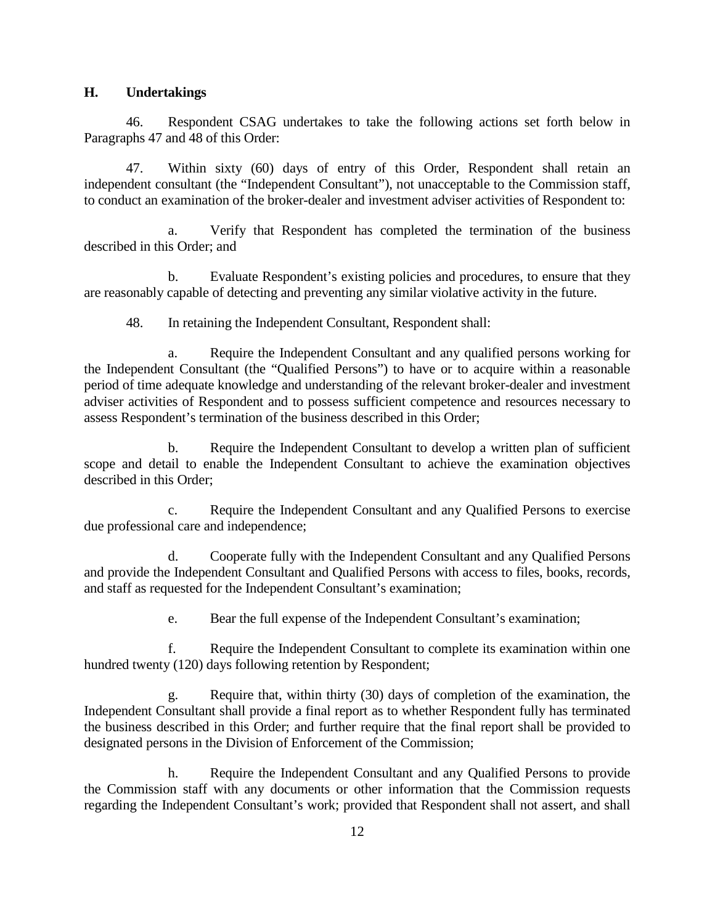#### **H. Undertakings**

46. Respondent CSAG undertakes to take the following actions set forth below in Paragraphs 47 and 48 of this Order:

47. Within sixty (60) days of entry of this Order, Respondent shall retain an independent consultant (the "Independent Consultant"), not unacceptable to the Commission staff, to conduct an examination of the broker-dealer and investment adviser activities of Respondent to:

a. Verify that Respondent has completed the termination of the business described in this Order; and

b. Evaluate Respondent's existing policies and procedures, to ensure that they are reasonably capable of detecting and preventing any similar violative activity in the future.

48. In retaining the Independent Consultant, Respondent shall:

a. Require the Independent Consultant and any qualified persons working for the Independent Consultant (the "Qualified Persons") to have or to acquire within a reasonable period of time adequate knowledge and understanding of the relevant broker-dealer and investment adviser activities of Respondent and to possess sufficient competence and resources necessary to assess Respondent's termination of the business described in this Order;

b. Require the Independent Consultant to develop a written plan of sufficient scope and detail to enable the Independent Consultant to achieve the examination objectives described in this Order;

c. Require the Independent Consultant and any Qualified Persons to exercise due professional care and independence;

d. Cooperate fully with the Independent Consultant and any Qualified Persons and provide the Independent Consultant and Qualified Persons with access to files, books, records, and staff as requested for the Independent Consultant's examination;

e. Bear the full expense of the Independent Consultant's examination;

f. Require the Independent Consultant to complete its examination within one hundred twenty (120) days following retention by Respondent;

g. Require that, within thirty (30) days of completion of the examination, the Independent Consultant shall provide a final report as to whether Respondent fully has terminated the business described in this Order; and further require that the final report shall be provided to designated persons in the Division of Enforcement of the Commission;

h. Require the Independent Consultant and any Qualified Persons to provide the Commission staff with any documents or other information that the Commission requests regarding the Independent Consultant's work; provided that Respondent shall not assert, and shall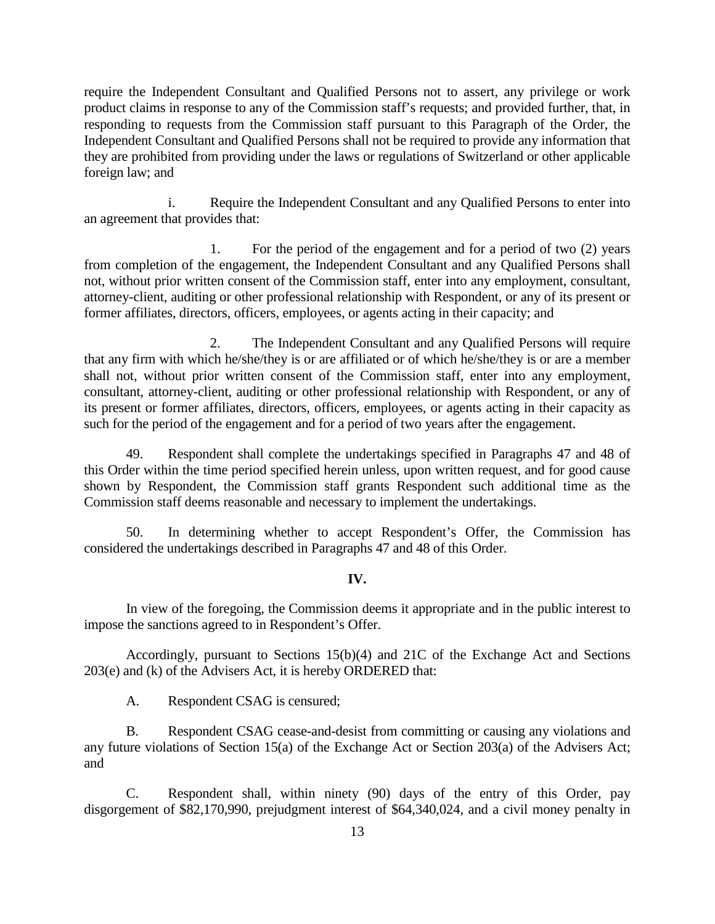require the Independent Consultant and Qualified Persons not to assert, any privilege or work product claims in response to any of the Commission staff's requests; and provided further, that, in responding to requests from the Commission staff pursuant to this Paragraph of the Order, the Independent Consultant and Qualified Persons shall not be required to provide any information that they are prohibited from providing under the laws or regulations of Switzerland or other applicable foreign law; and

i. Require the Independent Consultant and any Qualified Persons to enter into an agreement that provides that:

1. For the period of the engagement and for a period of two (2) years from completion of the engagement, the Independent Consultant and any Qualified Persons shall not, without prior written consent of the Commission staff, enter into any employment, consultant, attorney-client, auditing or other professional relationship with Respondent, or any of its present or former affiliates, directors, officers, employees, or agents acting in their capacity; and

2. The Independent Consultant and any Qualified Persons will require that any firm with which he/she/they is or are affiliated or of which he/she/they is or are a member shall not, without prior written consent of the Commission staff, enter into any employment, consultant, attorney-client, auditing or other professional relationship with Respondent, or any of its present or former affiliates, directors, officers, employees, or agents acting in their capacity as such for the period of the engagement and for a period of two years after the engagement.

49. Respondent shall complete the undertakings specified in Paragraphs 47 and 48 of this Order within the time period specified herein unless, upon written request, and for good cause shown by Respondent, the Commission staff grants Respondent such additional time as the Commission staff deems reasonable and necessary to implement the undertakings.

50. In determining whether to accept Respondent's Offer, the Commission has considered the undertakings described in Paragraphs 47 and 48 of this Order.

#### **IV.**

In view of the foregoing, the Commission deems it appropriate and in the public interest to impose the sanctions agreed to in Respondent's Offer.

Accordingly, pursuant to Sections 15(b)(4) and 21C of the Exchange Act and Sections 203(e) and (k) of the Advisers Act, it is hereby ORDERED that:

A. Respondent CSAG is censured;

B. Respondent CSAG cease-and-desist from committing or causing any violations and any future violations of Section 15(a) of the Exchange Act or Section 203(a) of the Advisers Act; and

C. Respondent shall, within ninety (90) days of the entry of this Order, pay disgorgement of \$82,170,990, prejudgment interest of \$64,340,024, and a civil money penalty in